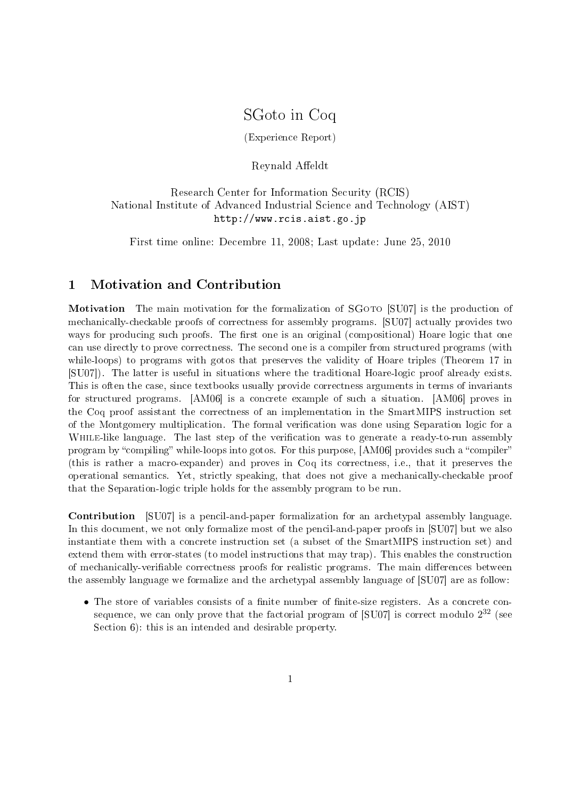# SGoto in Coq

(Experience Report)

Reynald Affeldt

# Research Center for Information Security (RCIS) National Institute of Advanced Industrial Science and Technology (AIST) http://www.rcis.aist.go.jp

First time online: Decembre 11, 2008; Last update: June 25, 2010

# 1 Motivation and Contribution

Motivation The main motivation for the formalization of SGOTO [SU07] is the production of mechanically-checkable proofs of correctness for assembly programs. [SU07] actually provides two ways for producing such proofs. The first one is an original (compositional) Hoare logic that one can use directly to prove correctness. The second one is a compiler from structured programs (with while-loops) to programs with gotos that preserves the validity of Hoare triples (Theorem 17 in [SU07]). The latter is useful in situations where the traditional Hoare-logic proof already exists. This is often the case, since textbooks usually provide correctness arguments in terms of invariants for structured programs. [AM06] is a concrete example of such a situation. [AM06] proves in the Coq proof assistant the correctness of an implementation in the SmartMIPS instruction set of the Montgomery multiplication. The formal verification was done using Separation logic for a WHILE-like language. The last step of the verification was to generate a ready-to-run assembly program by "compiling" while-loops into gotos. For this purpose, [AM06] provides such a "compiler" (this is rather a macro-expander) and proves in Coq its correctness, i.e., that it preserves the operational semantics. Yet, strictly speaking, that does not give a mechanically-checkable proof that the Separation-logic triple holds for the assembly program to be run.

Contribution [SU07] is a pencil-and-paper formalization for an archetypal assembly language. In this document, we not only formalize most of the pencil-and-paper proofs in [SU07] but we also instantiate them with a concrete instruction set (a subset of the SmartMIPS instruction set) and extend them with error-states (to model instructions that may trap). This enables the construction of mechanically-verifiable correctness proofs for realistic programs. The main differences between the assembly language we formalize and the archetypal assembly language of [SU07] are as follow:

• The store of variables consists of a finite number of finite-size registers. As a concrete consequence, we can only prove that the factorial program of [SU07] is correct modulo  $2^{32}$  (see Section 6): this is an intended and desirable property.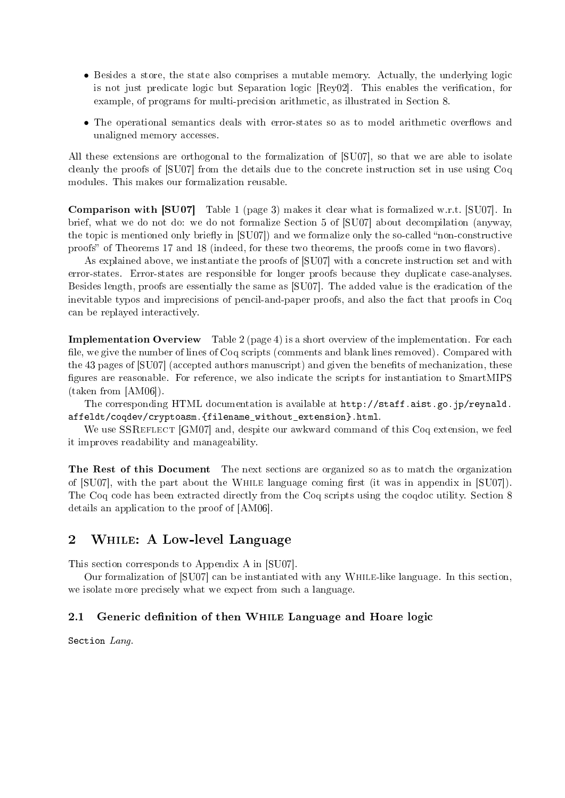- Besides a store, the state also comprises a mutable memory. Actually, the underlying logic is not just predicate logic but Separation logic [Rey02]. This enables the verification, for example, of programs for multi-precision arithmetic, as illustrated in Section 8.
- The operational semantics deals with error-states so as to model arithmetic overflows and unaligned memory accesses.

All these extensions are orthogonal to the formalization of [SU07], so that we are able to isolate cleanly the proofs of [SU07] from the details due to the concrete instruction set in use using Coq modules. This makes our formalization reusable.

Comparison with [SU07] Table 1 (page 3) makes it clear what is formalized w.r.t. [SU07]. In brief, what we do not do: we do not formalize Section 5 of [SU07] about decompilation (anyway, the topic is mentioned only briefly in  $[SU07]$  and we formalize only the so-called "non-constructive" proofs" of Theorems 17 and 18 (indeed, for these two theorems, the proofs come in two flavors).

As explained above, we instantiate the proofs of [SU07] with a concrete instruction set and with error-states. Error-states are responsible for longer proofs because they duplicate case-analyses. Besides length, proofs are essentially the same as [SU07]. The added value is the eradication of the inevitable typos and imprecisions of pencil-and-paper proofs, and also the fact that proofs in Coq can be replayed interactively.

Implementation Overview Table 2 (page 4) is a short overview of the implementation. For each file, we give the number of lines of Coq scripts (comments and blank lines removed). Compared with the 43 pages of [SU07] (accepted authors manuscript) and given the benets of mechanization, these figures are reasonable. For reference, we also indicate the scripts for instantiation to SmartMIPS (taken from [AM06]).

The corresponding HTML documentation is available at http://staff.aist.go.jp/reynald. affeldt/coqdev/cryptoasm.{filename\_without\_extension}.html.

We use SSREFLECT [GM07] and, despite our awkward command of this Coq extension, we feel it improves readability and manageability.

The Rest of this Document The next sections are organized so as to match the organization of  $[SU07]$ , with the part about the WHILE language coming first (it was in appendix in  $[SU07]$ ). The Coq code has been extracted directly from the Coq scripts using the coqdoc utility. Section 8 details an application to the proof of [AM06].

# 2 While: A Low-level Language

This section corresponds to Appendix A in [SU07].

Our formalization of [SU07] can be instantiated with any While-like language. In this section, we isolate more precisely what we expect from such a language.

### 2.1 Generic definition of then WHILE Language and Hoare logic

Section Lang.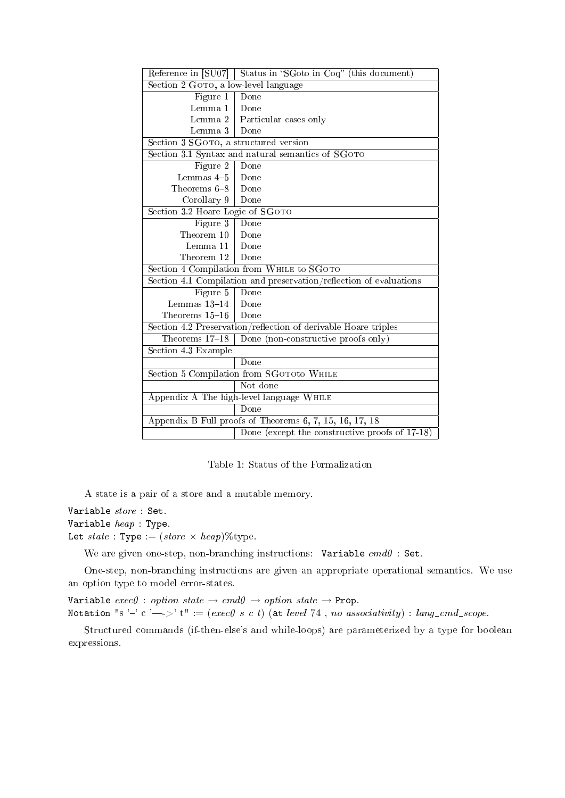| Reference in [SU07]                                                | Status in "SGoto in Coq" (this document)       |  |
|--------------------------------------------------------------------|------------------------------------------------|--|
| Section 2 GOTO, a low-level language                               |                                                |  |
| Figure 1                                                           | Done                                           |  |
| Lemma 1                                                            | Done                                           |  |
| Lemma 2                                                            | Particular cases only                          |  |
| Lemma 3                                                            | Done                                           |  |
| Section 3 SGOTO, a structured version                              |                                                |  |
| Section 3.1 Syntax and natural semantics of SGOTO                  |                                                |  |
| Figure $\overline{2}$                                              | Done                                           |  |
| Lemmas $4-5$                                                       | Done                                           |  |
| Theorems 6-8                                                       | Done                                           |  |
| Corollary 9                                                        | Done                                           |  |
| Section 3.2 Hoare Logic of SGOTO                                   |                                                |  |
| Figure 3                                                           | Done                                           |  |
| Theorem 10                                                         | Done                                           |  |
| Lemma 11                                                           | Done                                           |  |
| Theorem 12                                                         | Done                                           |  |
| Section 4 Compilation from WHILE to SGOTO                          |                                                |  |
| Section 4.1 Compilation and preservation/reflection of evaluations |                                                |  |
| Figure 5                                                           | Done                                           |  |
| Lemmas $13-14$                                                     | Done                                           |  |
| Theorems 15-16                                                     | Done                                           |  |
| Section 4.2 Preservation/reflection of derivable Hoare triples     |                                                |  |
| Theorems 17-18                                                     | Done (non-constructive proofs only)            |  |
| Section 4.3 Example                                                |                                                |  |
|                                                                    | Done                                           |  |
| Section 5 Compilation from SGOTOto WHILE                           |                                                |  |
|                                                                    | Not done                                       |  |
| Appendix A The high-level language WHILE                           |                                                |  |
|                                                                    | Done                                           |  |
| Appendix B Full proofs of Theorems 6, 7, 15, 16, 17, 18            |                                                |  |
|                                                                    | Done (except the constructive proofs of 17-18) |  |

Table 1: Status of the Formalization

A state is a pair of a store and a mutable memory.

Variable store : Set. Variable  $heap$ : Type. Let  $state$ : Type :=  $(store \times heap)$ % type.

We are given one-step, non-branching instructions: Variable  $cmd0$ : Set.

One-step, non-branching instructions are given an appropriate operational semantics. We use an option type to model error-states.

Variable  $exec0 : option state \rightarrow cmd0 \rightarrow option state \rightarrow Prop.$ 

Notation "s '-' c '-->' t" := (exec0 s c t) (at level 74, no associativity) : lang\_cmd\_scope.

Structured commands (if-then-else's and while-loops) are parameterized by a type for boolean expressions.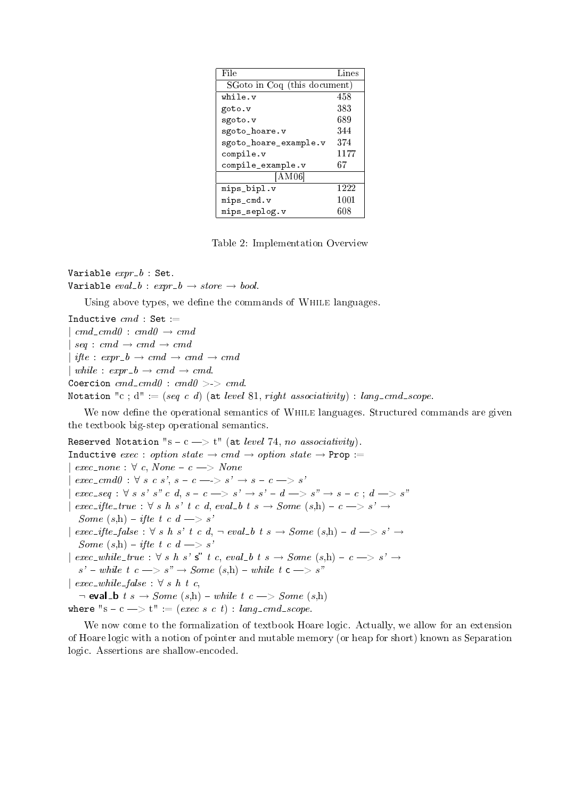| File                         | Lines |  |
|------------------------------|-------|--|
| SGoto in Coq (this document) |       |  |
| while.v                      | 458   |  |
| goto.v                       | 383   |  |
| sgoto.v                      | 689   |  |
| sgoto_hoare.v                | 344   |  |
| sgoto_hoare_example.v        | 374   |  |
| compile.v                    | 1177  |  |
| compile_example.v            | 67    |  |
| [AM06]                       |       |  |
| mips_bipl.v                  | 1222  |  |
| mips_cmd.v                   | 1001  |  |
| mips_seplog.v                | 608   |  |

Table 2: Implementation Overview

Variable  $expr_b$ : Set. Variable  $eval_b : expr_b \rightarrow store \rightarrow bool.$ 

Using above types, we define the commands of WHILE languages.

Inductive  $cmd$  : Set :=  $| \text{ } cmd = cmd0 : \text{ } cmd0 \rightarrow \text{ } cmd$  $|seq:cmd \rightarrow cmd \rightarrow cmd$  $|$  ifte :  $expr_b \rightarrow cmd \rightarrow cmd \rightarrow cmd$  $\vert$  while : expr\_b  $\rightarrow$  cmd  $\rightarrow$  cmd. Coercion  $cmd\_cmd0$  :  $cmd0$  >->  $cmd$ . Notation "c;  $d' := (seq \ c \ d)$  (at level 81, right associativity) : lang\_cmd\_scope.

We now define the operational semantics of WHILE languages. Structured commands are given the textbook big-step operational semantics.

Reserved Notation "s - c -> t" (at level 74, no associativity). Inductive exec : option state  $\rightarrow$  cmd  $\rightarrow$  option state  $\rightarrow$  Prop :=  $exec\_none : \forall c, None - c \Longrightarrow None$  $exec\_cmd0 : \forall s \ c \ s', s - c \Longrightarrow s' \Longrightarrow s - c \Longrightarrow s'$  $$  $\vec{e}$  exec\_ifte\_true :  $\forall s \; h \; s' \; t \; c \; d, \; eval_b \; t \; s \rightarrow Some \; (s,h) - c \rightarrow s' \rightarrow$ Some  $(s,h)$  – ifte t c  $d \longrightarrow s'$ *|* exec\_ifte\_false : ∀ s h s' t c d, ¬ eval\_b t s  $\rightarrow$  Some (s,h) - d  $\rightarrow$  s'  $\rightarrow$ Some  $(s,h)$  – ifte t c  $d \longrightarrow s'$ *|* exec while true : *∀* s h s' s t c, eval b t s *→* Some (s,h) c > s' *→*  $s'$  – while t  $c \longrightarrow s'' \longrightarrow Some(s,h)$  – while t  $c \longrightarrow s''$  $\vert$  exec\_while\_false :  $\forall s \; h \; t \; c$ ,  $\neg$  eval\_b t s  $\rightarrow$  Some (s,h)  $\neg$  while t c  $\rightarrow$  Some (s,h) where "s - c  $\Rightarrow$  t" := (exec s c t) : lang\_cmd\_scope.

We now come to the formalization of textbook Hoare logic. Actually, we allow for an extension of Hoare logic with a notion of pointer and mutable memory (or heap for short) known as Separation logic. Assertions are shallow-encoded.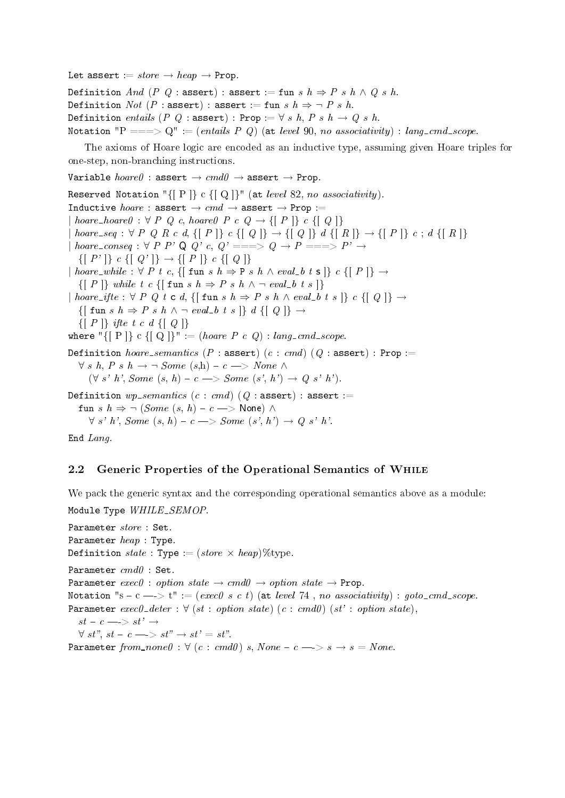Let assert  $:= store \rightarrow heap \rightarrow Prop.$ 

Definition And (P Q : assert) : assert := fun s  $h \Rightarrow P$  s  $h \land Q$  s  $h$ . Definition *Not* (*P* : assert) : assert := fun s  $h \Rightarrow \neg P s h$ . Definition entails (P Q : assert) : Prop :=  $\forall s \; h, P \; s \; h \rightarrow Q \; s \; h.$ Notation "P ===> Q" := (entails P Q) (at level 90, no associativity) : lang\_cmd\_scope.

The axioms of Hoare logic are encoded as an inductive type, assuming given Hoare triples for one-step, non-branching instructions.

Variable hoare0 : assert *→* cmd0 *→* assert *→* Prop.

Reserved Notation " $\{[ P ]\}$  c  $\{[ Q ]\}$ " (at *level* 82, no associativity). Inductive hoare : assert *→* cmd *→* assert *→* Prop :=  $| \; \textit{home\_hoare0} : \forall \; P \; Q \; c, \textit{home0} \; P \; c \; Q \rightarrow \{ \; P \; \} \; c \; \{ \; Q \; \} \}$  $\emph{bone\_seq}: \forall \text{ } P \text{ } Q \text{ } R \text{ } c \text{ } d \text{ } \{ \text{ } [ \text{ } P \text{ } ] \} \text{ } c \text{ } \{ \text{ } [ \text{ } Q \text{ } ] \} \rightarrow \{ \text{ } [ \text{ } Q \text{ } ] \} \text{ } d \text{ } \{ \text{ } [ \text{ } R \text{ } ] \} \rightarrow \{ \text{ } [ \text{ } P \text{ } ] \} \text{ } c \text{ } ; \text{ } d \text{ } \{ \text{ } [ \text{ } R \text{ } ] \}$  $| \textit{home\_conseq} : \forall \textit{P} \textit{P'} \textit{Q} \textit{Q'} \textit{c}, \textit{Q'} == \text{>} \textit{Q} \rightarrow \textit{P} == \text{>} \textit{P'} \rightarrow$  $\{[ P' ]\} \ c \ \{[ Q' ]\} \rightarrow \{[ P ]\} \ c \ \{[ Q ]\}$ *|* hoare while : *∀* P t c, {[ fun s h *⇒* P s h *∧* eval b t s ]} c {[ P ]} *→*  $\{[ P ]\}$  while t c  $\{[ \text{ fun } s \text{ } h \Rightarrow P \text{ } s \text{ } h \wedge \neg \text{ } eval_b \text{ } t \text{ } s \}$  $| \textit{hoare\_ifte} : \forall \textit{P} \textit{Q} t \textit{c} d, \{ | \textit{fun s} h \Rightarrow \textit{P} s h \land \textit{eval\_b} t s | \} c \{ | \textit{Q} | \} \rightarrow$  $\{[\text{ fun } s \text{ } h \Rightarrow P \text{ } s \text{ } h \land \neg \text{ } eval\_b \text{ } t \text{ } s \text{ }]\} \text{ } d \text{ } \{[ \text{ } Q \text{ } ]\} \rightarrow$  $\{[ P ]\}$  ifte t c d  $\{[ Q ]\}$ where " $\{ [ P ] \} c \{ [ Q ] \}$ " := (hoare P c Q) : lang\_cmd\_scope. Definition  $\textit{hoare\_semantics}$  (P : assert) (c : cmd) (Q : assert) : Prop := *∀* s h, P s h → ¬ Some  $(s,h)$  –  $c$  → None  $\land$  $(\forall s' h', Some(s, h) - c \Longrightarrow Some(s', h') \rightarrow Q(s' h').$ Definition  $wp\_semantics$  (c : cmd) (Q : assert) : assert := fun s  $h \Rightarrow \neg$  (*Some* (s, h) – c -> None)  $\land$  $\forall s' h', Some(s, h) - c \Longrightarrow Some(s', h') \rightarrow Q s' h'.$ End Lang.

### 2.2 Generic Properties of the Operational Semantics of While

We pack the generic syntax and the corresponding operational semantics above as a module: Module Type WHILE\_SEMOP.

Parameter store : Set. Parameter  $heap$ : Type. Definition  $state$ : Type :=  $(store \times heap)$  % type. Parameter  $cmd0$  : Set. Parameter  $exec0 : option state \rightarrow cmd0 \rightarrow option state \rightarrow Prop.$ Notation "s  $-c \rightarrow t$ " := (exec0 s c t) (at level 74, no associativity) : goto\_cmd\_scope. Parameter  $exec0$ - $deter : \forall (st : option state) (c : cmd0) (st' : option state),$  $st - c \longrightarrow st' \rightarrow$  $\forall s t^{n}, st-c \longrightarrow st^{n} \rightarrow st^{n} = st^{n}.$ Parameter from  $\text{name } \theta : \forall (c : \text{cmd} \theta) \text{ s}, \text{None} - c \implies s \rightarrow s = \text{None}.$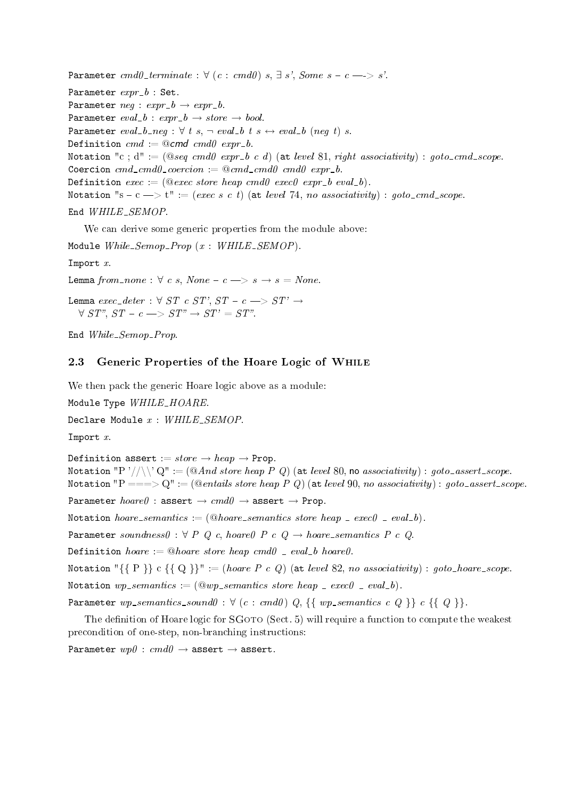Parameter  $cmd0_{\text{-}}$  terminate :  $\forall$  (c : cmd0) s,  $\exists$  s', Some s - c - > s'. Parameter  $expr_b$  : Set. Parameter  $neg : expr\_b \rightarrow expr\_b$ . Parameter  $eval_b : expr_b \rightarrow store \rightarrow bool.$ Parameter  $eval_b_n$ :  $\forall$  t s,  $\neg$  eval b t s  $\leftrightarrow$  eval b (neg t) s. Definition  $cmd := @cmd \;cmd \;error-b$ . Notation "c; d" :=  $(@seq \ cmd \ expr_b \ c \ d)$  (at level 81, right associativity) : goto\_cmd\_scope. Coercion  $cmd\_cmd0\_coercion := @cmd\_cmd0 \text{ }cmd0 \text{ }expr\_b$ . Definition exec := (@exec store heap cmd0 exec0 expr\_b eval\_b). Notation "s  $-c \rightarrow t$ " := (exec s c t) (at level 74, no associativity) : goto\_cmd\_scope.

### End WHILE\_SEMOP.

We can derive some generic properties from the module above:

Module  $While\_Sempo\_Prop$   $(x : WHILE\_SEMOP)$ .

Import  $x$ .

Lemma from none :  $\forall c \ s$ , None  $-c \implies s \rightarrow s = None$ 

Lemma  $exec\_deter : \forall ST \ c \ ST', \ ST - c \Longrightarrow ST' \rightarrow$  $\forall ST''$ ,  $ST - c \implies ST'' \rightarrow ST' = ST''$ .

End  $While\_Sempo\_Prop$ .

### 2.3 Generic Properties of the Hoare Logic of While

We then pack the generic Hoare logic above as a module:

Module Type WHILE\_HOARE.

Declare Module  $x$  : WHILE\_SEMOP.

Import x.

Definition assert :=  $store \rightarrow heap \rightarrow Prop.$ 

Notation "P'//\' Q" :=  $(@And store\ heap\ P\ Q)$  (at level 80, no associativity) : goto-assert-scope. Notation "P ===> Q" := (@entails store heap P Q) (at level 90, no associativity) : goto-assert-scope. Parameter hoare0 : assert *→* cmd0 *→* assert *→* Prop. Notation hoare\_semantics := (@hoare\_semantics store heap  $= exec0$  =  $eval_b$ ). Parameter soundness0 :  $\forall P Q c$ , hoare0 P c Q  $\rightarrow$  hoare\_semantics P c Q. Definition hoare := @hoare store heap cmd0 = eval b hoare0. Notation " $\{ \{ P \} \}$  c  $\{ \{ Q \} \}$ " := (hoare P c Q) (at level 82, no associativity) : goto\_hoare\_scope.

Notation  $wp\_semantics := (\textcircled{u}wp\_semantics \; store \; heap\_ exec0 \; \textcirc \; eval_b).$ 

Parameter  $wp\_semantics\_sound0$  :  $\forall$  (c : cmd0) Q, {{  $wp\_semantics$  c Q }} c {{ Q }}.

The definition of Hoare logic for SGOTO (Sect. 5) will require a function to compute the weakest precondition of one-step, non-branching instructions:

Parameter wp0 : cmd0 *→* assert *→* assert.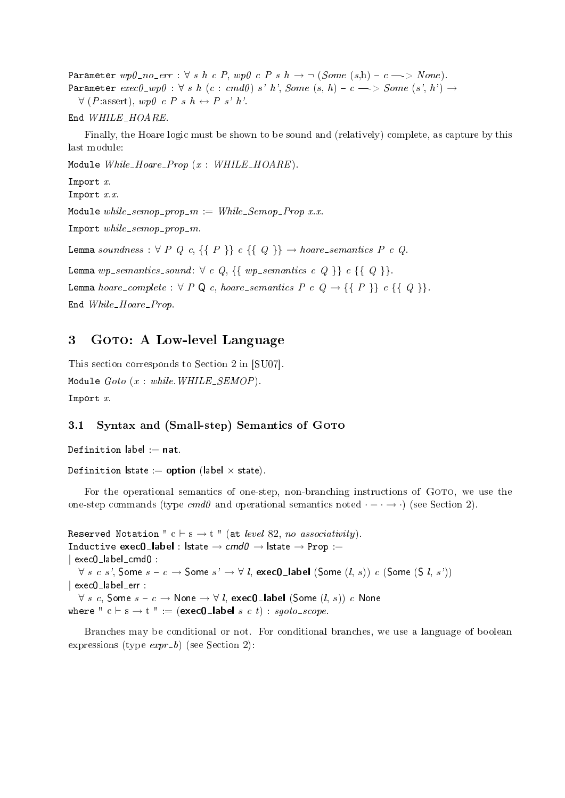Parameter wp0 no err : *∀* s h c P, wp0 c P s h *→ ¬* (Some (s,h) c -> None). Parameter  $exec0\_wp0 : \forall s \; h \; (c : cmd0) \; s' \; h', Some \; (s, h) - c \longrightarrow Some \; (s', h') \rightarrow$ *∀* (P:assert), wp0 c P s h *↔* P s' h'.

#### End WHILE\_HOARE.

Finally, the Hoare logic must be shown to be sound and (relatively) complete, as capture by this last module:

Module  $While\_Hoare\_Prop$   $(x : WHILE\_HOARE)$ .

- Import  $x$ .
- Import  $x.x$ .

Module while\_semop\_prop\_m :=  $While\_Semp\_Prop$  x.x.

Import  $while\_semop\_prop\_m$ .

Lemma soundness :  $\forall P Q c, \{\{P\}\} c \{\{Q\}\} \rightarrow \text{hoare-semantics } P c Q$ .

Lemma  $wp\_semantics\_sound: \forall c \ Q, \ {\} \ wp\_semantics \ c \ Q \ {\} \ c \ {\} \ Q \ {\}.$ 

Lemma hoare\_complete :  $\forall P \mathbb{Q} c$ , hoare\_semantics  $P c Q \rightarrow \{ \{ P \} \} c \{ \{ Q \} \}.$ 

End While\_Hoare\_Prop.

# 3 GOTO: A Low-level Language

This section corresponds to Section 2 in [SU07]. Module  $Goto$  (x : while. WHILE\_SEMOP). Import x.

### 3.1 Syntax and (Small-step) Semantics of GOTO

Definition label  $:=$  nat.

```
Definition \mathsf{lstate} := \mathsf{option} (label \times state).
```
For the operational semantics of one-step, non-branching instructions of GOTO, we use the one-step commands (type  $cmd0$  and operational semantics noted  $\cdot$  –  $\cdot$   $\rightarrow$   $\cdot$ ) (see Section 2).

Reserved Notation "  $c \vdash s \rightarrow t$  " (at *level* 82, no associativity). Inductive exec0 label : lstate *→* cmd0 *→* lstate *→* Prop := *|* exec0 label cmd0 : *∀ s c s'*, Some  $s - c$  → Some  $s'$  →  $\forall$  *l*, exec0\_label (Some  $(l, s)$ ) c (Some (S *l*, s')) *|* exec0 label err : *∀ s c*, Some  $s - c \rightarrow$  None  $\rightarrow$  *∀ l*, exec0\_label (Some  $(l, s)$ ) c None where "  $c \vdash s \rightarrow t$  " := (exec0\_label s c t) : sgoto\_scope.

Branches may be conditional or not. For conditional branches, we use a language of boolean expressions (type  $\exp r - b$ ) (see Section 2):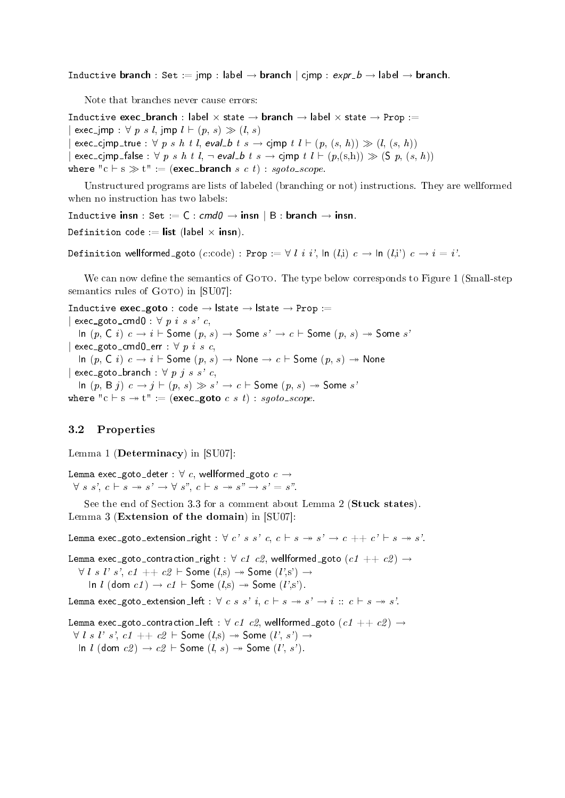Inductive branch : Set := jmp : label  $\rightarrow$  branch  $|$  cjmp :  $exp L \rightarrow$  label  $\rightarrow$  branch.

Note that branches never cause errors:

Inductive exec\_branch : label  $\times$  state  $\rightarrow$  branch  $\rightarrow$  label  $\times$  state  $\rightarrow$  Prop :=  $\text{exec\_imp}: \forall p s l, \text{imp} l \vdash (p, s) \gg (l, s)$  $\exists x \in \text{c\_cimp\_true} : \forall p \ s \ h \ t \ l, \text{eval\_b} \ t \ s \rightarrow \text{cimp} \ t \ l \vdash (p, (s, h)) \gg (l, (s, h))$  $|$  exec\_cjmp\_false :  $\forall p \ s \ h \ t \ l, \neg \ eval \ b \ t \ s \rightarrow \ \ p \ n \ t \ l \vdash (p,(s,h)) \gg (S \ p, (s,h))$ where "c  $\vdash$  s  $\gg$  t" := (exec\_branch s c t) : sgoto\_scope.

Unstructured programs are lists of labeled (branching or not) instructions. They are wellformed when no instruction has two labels:

Inductive insn : Set := C : cmd0 *→* insn *|* B : branch *→* insn.

Definition code := list (label  $\times$  insn).

Definition wellformed\_goto  $(c:\text{code}): \text{Prop} := \forall l \ i \ i'$ ,  $\text{In } (l,i) \ c \rightarrow \text{In } (l,i') \ c \rightarrow i = i'.$ 

We can now define the semantics of GOTO. The type below corresponds to Figure 1 (Small-step semantics rules of  $GOTO$ ) in  $[SU07]$ :

Inductive exec goto : code *→* lstate *→* lstate *→* Prop :=  $\vert$  exec goto cmd0 :  $\forall$  p i s s' c, In  $(p, C i) c → i ⊢ Some (p, s) → Some s' → c ⊢ Some (p, s) → Some s'$ *|* exec\_goto\_cmd0\_err : *∀ p i s c*, In (p, C i) c *→* i *`* Some (p, s) *→* None *→* c *`* Some (p, s) None *|* exec goto branch : *∀* p j s s' c, In  $(p, B j)$   $c \rightarrow j \vdash (p, s) \gg s' \rightarrow c \vdash$  Some  $(p, s) \rightarrow$  Some s'

where " $c \vdash s \rightarrow t$ " := (exec\_goto c s t) : sgoto\_scope.

#### 3.2 Properties

Lemma 1 (Determinacy) in [SU07]:

Lemma exec\_goto\_deter :  $\forall c$ , wellformed\_goto  $c \rightarrow$  $\forall s \ s', c \vdash s \rightarrow s' \rightarrow \forall s'', c \vdash s \rightarrow s'' \rightarrow s' = s''.$ 

See the end of Section 3.3 for a comment about Lemma 2 (Stuck states). Lemma 3 (Extension of the domain) in [SU07]:

Lemma exec\_goto\_extension\_right :  $\forall c' s s' c, c \vdash s \rightarrow s' \rightarrow c ++ c' \vdash s \rightarrow s'$ .

Lemma exec\_goto\_contraction\_right :  $\forall c1$  c<sub>2</sub>, wellformed\_goto  $(c1 + c2) \rightarrow$ *∀ l s l*' *s*', *c1* ++ *c2 \* Some (*l*,s) → Some (*l*',s') → In *l* (dom  $c1$ )  $\rightarrow$   $c1$   $\vdash$  Some (*l*,s)  $\rightarrow$  Some (*l'*,s').

Lemma exec\_goto\_extension\_left :  $\forall c s s' i, c \vdash s \rightarrow s' \rightarrow i :: c \vdash s \rightarrow s'.$ 

Lemma exec\_goto\_contraction\_left :  $\forall c1$  c2, wellformed\_goto  $(c1 + c2) \rightarrow$ *∀ l s l s '*, *c1* ++ *c2 \* **Some** (*l*, *s*) → *Some* (*l*, *s*) → In *l* (dom  $c2$ )  $\rightarrow$   $c2$   $\vdash$  Some  $(l, s)$   $\rightarrow$  Some  $(l', s')$ .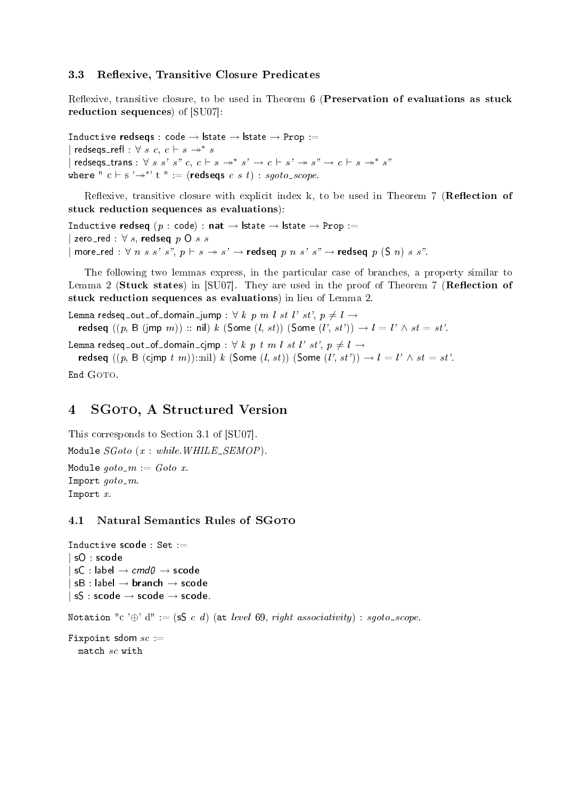### 3.3 Reflexive, Transitive Closure Predicates

Reflexive, transitive closure, to be used in Theorem 6 (Preservation of evaluations as stuck reduction sequences) of [SU07]:

Inductive redseqs : code *→* lstate *→* lstate *→* Prop :=  $\vert$  redseqs\_refl :  $\forall s \ c, c \vdash s \rightarrow^* s$ *|* redseqs\_trans : *∀ s s' s" c*,  $c \vdash s \rightarrow^{*} s' \rightarrow c \vdash s' \rightarrow s'' \rightarrow c \vdash s \rightarrow^{*} s'$ where "  $c \vdash s \rightarrow^{*} t$ " := (redseqs  $c \ s \ t)$  : sgoto\_scope.

Reflexive, transitive closure with explicit index k, to be used in Theorem 7 (**Reflection of** stuck reduction sequences as evaluations):

Inductive redseq (p : code) : nat *→* lstate *→* lstate *→* Prop :=  $\mathsf{zero}\_\mathsf{red} : \forall s, \mathsf{redseq} \ p \ \mathsf{O} \ s \ s$  $|$  more\_red :  $\forall n \ s \ s' \ s'', \ p \vdash s \twoheadrightarrow s' \rightarrow \mathsf{redseq} \ p \ n \ s' \ s'' \rightarrow \mathsf{redseq} \ p \ (S \ n) \ s \ s''.$ 

The following two lemmas express, in the particular case of branches, a property similar to Lemma 2 (Stuck states) in  $[SU07]$ . They are used in the proof of Theorem 7 (Reflection of stuck reduction sequences as evaluations) in lieu of Lemma 2.

Lemma redseq\_out\_of\_domain\_jump :  $\forall k p m l st l' st', p \neq l \rightarrow$ redseq  $((p, B (imp m))$ : nil) k (Some  $(l, st))$  (Some  $(l', st')) \rightarrow l = l' \wedge st = st'.$ Lemma redseq\_out\_of\_domain\_cjmp :  $\forall k p t m l s t l' s t', p \neq l \rightarrow$ redseq  $((p, B (cimp t m))::nil) k$  (Some  $(l, st))$  (Some  $(l', st')) \rightarrow l = l' \land st = st'.$ 

End GOTO.

# 4 SGOTO, A Structured Version

```
This corresponds to Section 3.1 of [SU07].
Module SGoto (x : while. WHILE_SEMOP).
Module qoto<sub>-</sub>m := Goto x.
Import qoto-m.
Import x.
```
### 4.1 Natural Semantics Rules of SGOTO

```
Inductive scode : Set :=
| sO : scode
| sC : label → cmd0 → scode
| sB : label → branch → scode
| sS : scode → scode → scode.
Notation "c '\oplus' d" := (sS c d) (at level 69, right associativity) : sgoto_scope.
Fixpoint sdom sc :=match sc with
```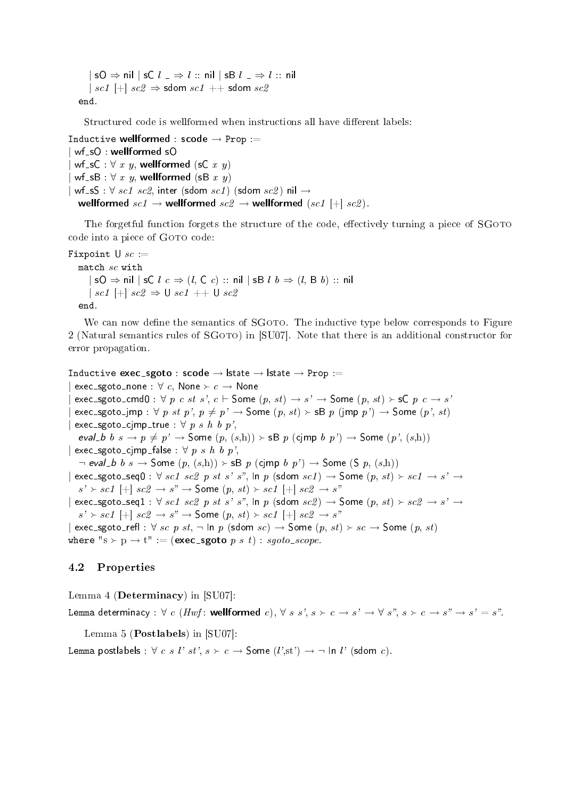*|* sO *⇒* nil *|* sC l *⇒* l :: nil *|* sB l *⇒* l :: nil  $| sc1 | + | sc2 \Rightarrow$  sdom  $sc1 +$  sdom  $sc2$ end.

Structured code is wellformed when instructions all have different labels:

```
Inductive wellformed : scode → Prop :=
 wf_sO : wellformed sO
 wf\_sC : \forall x, y, wellformed (sC x y)
 wf\_sB : \forall x, y, wellformed (sB x y)
 wf<sub>-S</sub>S : \forall sc1 sc2, inter (sdom sc1) (sdom sc2) nil \rightarrowwellformed \textit{sc1} \rightarrow wellformed \textit{sc2} \rightarrow wellformed (\textit{sc1} \mid \text{+} | \textit{sc2}).
```
The forgetful function forgets the structure of the code, effectively turning a piece of SGOTO code into a piece of GOTO code:

```
Fixpoint U sc :=
  match sc with
    | sO ⇒ nil | sC l c ⇒ (l, C c) :: nil | sB l b ⇒ (l, B b) :: nil
    | sc1 [+] sc2 ⇒ U sc1 ++ U sc2
  end.
```
We can now define the semantics of SGOTO. The inductive type below corresponds to Figure 2 (Natural semantics rules of SGOTO) in [SU07]. Note that there is an additional constructor for error propagation.

```
Inductive exec sgoto : scode → lstate → lstate → Prop :=
 \mathsf{exec\_sgoto\_none} : \forall c, \mathsf{None} \succ c \rightarrow \mathsf{None}\epsilon exec_sgoto_cmd0 : \forall p \ c \ st \ s', \ c \vdash Some (p, st) \rightarrow s' \rightarrow Some (p, st) \succ sC p \ c \rightarrow s'\epsilon exec_sgoto_jmp : \forall p st p', p \neq p' \rightarrow Some (p, st) \rightarrow sB p (jmp p') \rightarrow Some (p', st)\epsilon exec sgoto cjmp true : \forall p s h b p',
   eval b b s \to p \neq p' \to Some (p, (s,h)) \to sB p (cjmp b p') \to Some (p', (s,h))\vert exec_sgoto_cjmp_false : \forall p s h b p',
   ¬ eval_b b s → Some (p, (s,h)) > sB p (cjmp b p') → Some (S p, (s,h))
| \text{ exec\_sgoto\_seq0} : \forall \text{ sc1 } sc2 \text{ p st s'} s'', \ln p \text{ (sdom } sc1 \rightarrow \text{Some } (p, st) \succ sc1 \rightarrow s' \rightarrow s's' \succ sc1 [+] sc2 \rightarrow s'' \rightarrow Some (p, st) \succ sc1 [+] sc2 \rightarrow s''| exec_sgoto_seq1 : \forall sc1 sc2 p st s' s", In p (sdom sc2) \rightarrow Some (p, st) \succ sc2 \rightarrow s' \rightarrow s's' \succ sc1 [+] sc2 \rightarrow s'' \rightarrow Some (p, st) \succ sc1 [+] sc2 \rightarrow s''\vert exec _sgoto _refl : \forall sc p st, \neg In p (sdom sc) \rightarrow Some (p, st) \rightarrow sc \rightarrow Some (p, st)where "s \succ p \rightarrow t" := (exec_sgoto p s t) : sgoto_scope.
```
### 4.2 Properties

Lemma 4 (Determinacy) in [SU07]: Lemma determinacy :  $\forall c$  (Hwf: wellformed c),  $\forall s s', s \succ c \rightarrow s' \rightarrow \forall s'', s \succ c \rightarrow s'' \rightarrow s' = s''.$ 

Lemma 5 (Postlabels) in [SU07]:

Lemma postlabels :  $\forall c \ s \ l' \ st', \ s \succ c \rightarrow$  Some  $(l',st') \rightarrow \neg \ \text{ln } l' \ \text{(sdom } c).$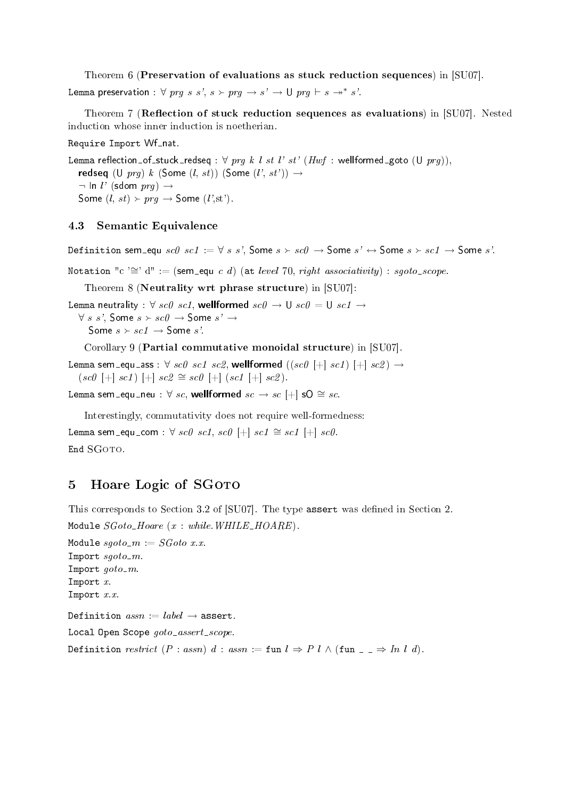Theorem 6 (Preservation of evaluations as stuck reduction sequences) in [SU07].

Lemma preservation :  $\forall \text{ pr} g \text{ s } s', \text{ s} \succ \text{ pr} g \rightarrow s' \rightarrow \text{U} \text{ pr} g \vdash s \rightarrow^* s'.$ 

Theorem 7 (Reflection of stuck reduction sequences as evaluations) in  $[SU07]$ . Nested induction whose inner induction is noetherian.

Require Import Wf\_nat.

Lemma reflection\_of\_stuck\_redseq :  $\forall$  prg k l st l' st' (Hwf : wellformed\_goto (U prg)), redseq (U  $prq$ ) k (Some  $(l, st)$ ) (Some  $(l', st')$ )  $\rightarrow$ *¬* In l' (sdom prg) *→* Some  $(l, st) \succ prg \rightarrow$  Some  $(l', st')$ .

#### 4.3 Semantic Equivalence

Definition sem equ sc0 sc1 :=  $\forall s s'$ , Some  $s \succ sc0 \rightarrow$  Some  $s' \leftrightarrow$  Some  $s \succ sc1 \rightarrow$  Some s'.

Notation "c '<sup>∠</sup>' d" := (sem\_equ c d) (at level 70, right associativity) : sgoto\_scope.

Theorem 8 (Neutrality wrt phrase structure) in [SU07]:

Lemma neutrality :  $\forall$  sc0 sc1, wellformed sc0  $\rightarrow$  U sc0 = U sc1  $\rightarrow$ 

 $\forall s \ s'$ , Some  $s \succ sc0 \rightarrow$  Some  $s' \rightarrow$ Some  $s \succ \textit{sc1} \rightarrow$  Some s'.

Corollary 9 (Partial commutative monoidal structure) in [SU07].

Lemma sem\_equ\_ass :  $\forall$  sc0 sc1 sc2, wellformed  $((sc0 \pm | sc1) + | sc2) \rightarrow$  $(\text{sc0 } [\pm] \text{ } \text{sc1}) [\pm] \text{ } \text{sc2} \cong \text{sc0 } [\pm] \text{ } (\text{sc1 } [\pm] \text{ } \text{sc2}).$ 

Lemma sem\_equ\_neu :  $\forall$  sc, wellformed sc  $\rightarrow$  sc [+] sO  $\cong$  sc.

Interestingly, commutativity does not require well-formedness:

Lemma sem\_equ\_com :  $\forall$  sc0 sc1, sc0 [+] sc1  $\cong$  sc1 [+] sc0. End SGOTO.

# 5 Hoare Logic of SGOTO

This corresponds to Section 3.2 of [SU07]. The type assert was defined in Section 2. Module  $SGoto\_Hoare$  (x : while. WHILE\_HOARE).

Module  $sgoto$ - $m := SGoto$  x.x. Import  $sqoto$ -m. Import  $qoto$ -m. Import x. Import  $x.x$ Definition  $assn := label \rightarrow$  assert. Local Open Scope goto\_assert\_scope. Definition restrict  $(P : assn)$  d : assn := fun  $l \Rightarrow P l \wedge ($ fun  $=$   $\Rightarrow$  In l d).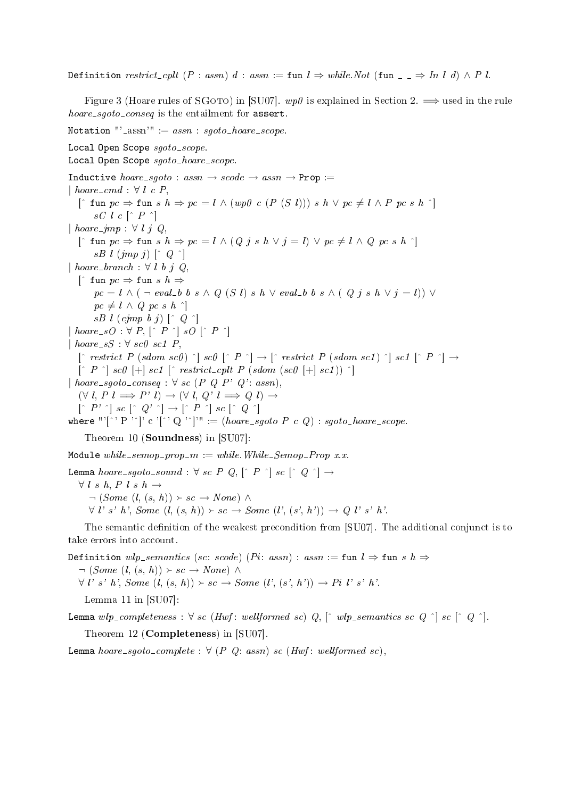Definition restrict\_cplt  $(P : assn)$  d : assn := fun  $l \Rightarrow white.Not$  (fun  $\Box \Rightarrow In \ l \ d) \wedge P$  l.

Figure 3 (Hoare rules of SGOTO) in [SU07].  $wp\theta$  is explained in Section 2.  $\implies$  used in the rule  $hoare\_sgoto\_conseq$  is the entailment for assert.

Notation "' $\_$ assn'"  $= assn : sqoto\_hoare\_scope.$ 

Local Open Scope sgoto\_scope. Local Open Scope sgoto\_hoare\_scope. Inductive  $hoare\_sqoto : assn \rightarrow scode \rightarrow assn \rightarrow \text{Prop} :=$ *|* hoare cmd : *∀* l c P, [- fun pc *⇒* fun s h *⇒* pc = l *∧* (wp0 c (P (S l))) s h *∨* pc *6*= l *∧* P pc s h -]  $\mathit{sC}$  l  $\mathit{c}$   $\lceil \mathit{\char`-P} \ \urcorner \rceil$ *|* hoare jmp : *∀* l j Q,  $[\hat{ } \text{fun } pc \Rightarrow \text{fun } s \ h \Rightarrow pc = l \wedge (Q \ j \ s \ h \vee j = l) \vee pc \neq l \wedge Q \ pc \ s \ h \upharpoonright ]$  $sB$  l  $(jmp\,j)$   $\lceil$   $\hat{Q}$   $\hat{\ }$  $\vert$  hoare\_branch :  $\forall$  l b j Q. [- fun pc *⇒* fun s h *⇒*  $pc = l \wedge (\neg \text{ eval\_b} b s \wedge Q(S l) s h \vee \text{ eval\_b} b s \wedge (Q j s h \vee i = l)) \vee$  $pc \neq l \wedge Q pc s h$ <sup>-</sup>  $sB$  l  $(cimp$  b j)  $\lceil \hat{Q} \rceil$  $\left[ \begin{array}{ccc} \textit{hoare\_sO} & \forall & P, \, \left[ \begin{array}{cc} \hat{P} & \hat{C} \end{array} \right] \textit{ }sO \, \left[ \begin{array}{cc} \hat{P} & \hat{C} \end{array} \right] \end{array} \right]$  $\vert$  hoare\_sS :  $\forall$  sc0 sc1 P,  $\left[\begin{array}{cc} \cap & \text{restrict}\end{array} P\right.~(sdom~scl)~\cap\right]~scl~\left[\begin{array}{cc} \cap & P \end{array} \cap\right] \rightarrow \left[\begin{array}{cc} \cap & \text{restrict}\end{array} P\right.~(sdom~scl)~\cap\right]~scl~\left[\begin{array}{cc} \cap & P \end{array} \cap\right] \rightarrow$  $\lceil \hat{P} \rceil$  sc0  $\lceil + \rceil$  sc1  $\lceil \hat{P} \rceil$  restrict\_cplt P (sdom (sc0  $\lceil + \rceil$  sc1))  $\lceil \cdot \rceil$  $| \textit{hoare\_sgoto\_conseq} : \forall \textit{sc} (P \ Q \ P' \ Q'; \textit{assn}).$  $(\forall l, P \ l \Longrightarrow P' \ l) \rightarrow (\forall l, Q' \ l \Longrightarrow Q \ l) \rightarrow$  $\left[\begin{array}{cc} P' \end{array}\right]$  sc  $\left[\begin{array}{cc} Q' \end{array}\right] \rightarrow \left[\begin{array}{cc} P \end{array}\right]$  sc  $\left[\begin{array}{cc} Q \end{array}\right]$ where "'[^' P '^]' c '[^' Q '^]'" := ( $hoare\_sgoto\ P\ c\ Q)$  : sgo $to\_hoare\_scope.$ Theorem 10 (Soundness) in [SU07]: Module while\_semop\_prop\_m := while.While\_Semop\_Prop x.x. Lemma  $\emph{hoare\_sgoto\_sound}: \forall \textit{ sc } P \textit{ Q}, \left[ \hat{\ }\textit{ P } ^{ \wedge } \right] \textit{ sc } \left[ \hat{\ }\textit{ Q } ^{ \wedge } \right] \rightarrow$ 

*∀* l s h, P l s h *→*  $\neg$  (*Some* (*l*,  $(s, h)$ )  $\rightarrow$  *sc*  $\rightarrow$  *None*)  $\land$  $\forall$  l' s' h', Some  $(l, (s, h)) \succ sc \rightarrow Some$   $(l', (s', h')) \rightarrow Q$  l' s' h'.

The semantic definition of the weakest precondition from [SU07]. The additional conjunct is to take errors into account.

Definition wlp\_semantics (sc: scode) (Pi: assn) : assn := fun  $l \Rightarrow$  fun s  $h \Rightarrow$  $\neg$  (*Some* (*l*,  $(s, h)$ )  $\rightarrow$  *sc*  $\rightarrow$  *None*)  $\land$ *∀ l'* s' *h'*, *Some*  $(l, (s, h)) \succ sc$  *→ Some*  $(l', (s', h'))$  *→ Pi l'* s' *h'*. Lemma 11 in [SU07]:

Lemma  $wlp\_completeness: \forall \; sc \; (Hwf: \; wellformed \; sc) \; Q, \; [ \; \; wlp\_semantics \; sc \; Q \; \; \; ] \; sc \; [ \; \; Q \; \; \; ] .$ 

Theorem 12 (Completeness) in [SU07].

Lemma hoare\_sgoto\_complete :  $\forall$  (P Q: assn) sc (Hwf: wellformed sc),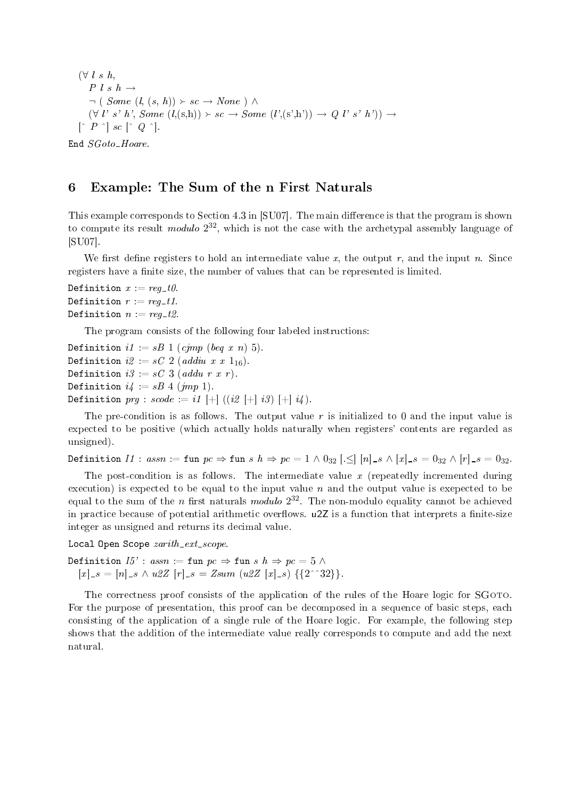(*∀* l s h,  $P \, l \, s \, h \rightarrow$  $\neg$  ( *Some*  $(l, (s, h)) \succ sc \rightarrow None$  )  $\wedge$  $(\forall l' s' h', Some (l,(s,h)) \succ sc \rightarrow Some (l', (s',h')) \rightarrow Q l' s' h') \rightarrow$  $\lceil \hat{P} \rceil$  sc  $\lceil \hat{Q} \rceil$ . End  $SGoto\_Hoare$ .

### 6 Example: The Sum of the n First Naturals

This example corresponds to Section 4.3 in [SU07]. The main difference is that the program is shown to compute its result *modulo*  $2^{32}$ , which is not the case with the archetypal assembly language of [SU07].

We first define registers to hold an intermediate value x, the output r, and the input n. Since registers have a finite size, the number of values that can be represented is limited.

Definition  $x := \text{req}_- t\theta$ . Definition  $r := \text{reg}_- t1$ . Definition  $n := \text{req-}t2$ .

The program consists of the following four labeled instructions:

Definition  $i1 := sB$  1 (cimp (beg x n) 5). Definition  $i2 = sC$  2 (addiu x x 1<sub>16</sub>). Definition  $i3 := sC$  3 (addu r x r). Definition  $i4 := sB \; 4 \; (imp \; 1)$ . Definition  $prq : scode := i1 \; [+] \; ((i2 \; [+] \; i3) \; [+] \; i4).$ 

The pre-condition is as follows. The output value  $r$  is initialized to 0 and the input value is expected to be positive (which actually holds naturally when registers' contents are regarded as unsigned).

Definition  $II$ :  $assn :=$  fun  $pc \Rightarrow$  fun  $s h \Rightarrow pc = 1 \wedge 0_{32}$  [. $\leq$   $|n|$   $s \wedge |x|$   $s = 0_{32} \wedge |r|$   $s = 0_{32}$ .

The post-condition is as follows. The intermediate value  $x$  (repeatedly incremented during execution) is expected to be equal to the input value  $n$  and the output value is exepected to be equal to the sum of the *n* first naturals modulo  $2^{32}$ . The non-modulo equality cannot be achieved in practice because of potential arithmetic overflows.  $u2Z$  is a function that interprets a finite-size integer as unsigned and returns its decimal value.

Local Open Scope  $zarith\_ext\_scope$ .

Definition  $I5'$  : assn := fun  $pc \Rightarrow$  fun s  $h \Rightarrow pc = 5 \land$  $[x]_{-} = [n]_{-} \land u\&Z [r]_{-} = Zsum (u\&Z [x]_{-} s) \{\{2 \land 32\}\}.$ 

The correctness proof consists of the application of the rules of the Hoare logic for SGoto. For the purpose of presentation, this proof can be decomposed in a sequence of basic steps, each consisting of the application of a single rule of the Hoare logic. For example, the following step shows that the addition of the intermediate value really corresponds to compute and add the next natural.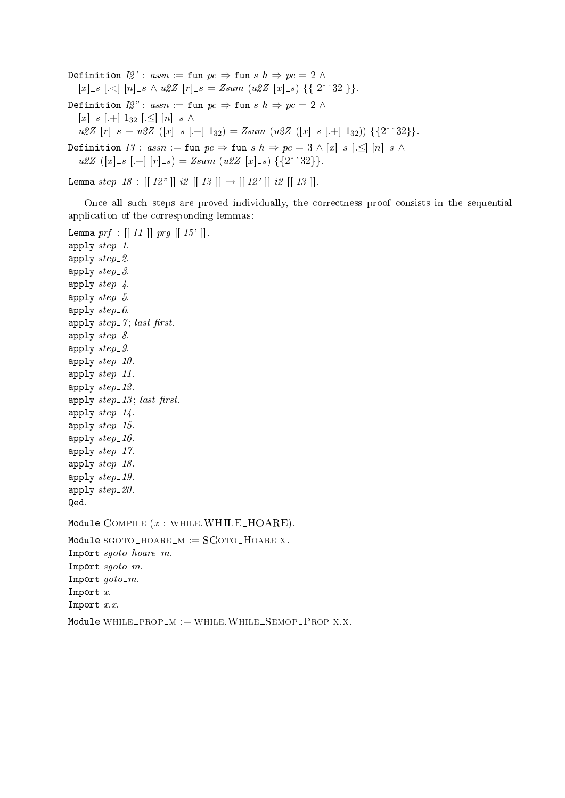Definition  $I2'$  : assn := fun  $pc \Rightarrow$  fun s  $h \Rightarrow pc = 2 \land$  $[x]_{-s}$  [.<]  $[n]_{-s} \wedge u2Z$  [r] $_{-s}$  = Zsum (u2Z [x] $_{-s}$ ) {{ 2^^32 }}. Definition  $I2"$ : assn := fun  $pc \Rightarrow$  fun s  $h \Rightarrow pc = 2 \land$  $[x]$ <sub>-8</sub> [.+]  $1_{32}$  [ $\leq$ ]  $[n]$ <sub>-8</sub>  $\wedge$  $u2Z [r]_{-}s + u2Z ([x]_{-}s [-1]_{32}) = Zsum (u2Z ([x]_{-}s [-1]_{32})) \{2^{\wedge}32\}.$ Definition  $I3 : assn := \text{fun } pc \Rightarrow \text{fun } s \ h \Rightarrow pc = 3 \wedge [x] \cdot s \cdot [0 \cdot s] \cdot [n] \cdot s \wedge$  $u2Z([x]_{-S} [+] [r]_{-S}) = Zsum([u2Z [x]_{-S}) \{ \{2 \text{``32} \} \}.$ 

Lemma  $step_{-}18 : [[12"] | i2 [[13 ]] \rightarrow [[12'] | i2 [[13]].$ 

Once all such steps are proved individually, the correctness proof consists in the sequential application of the corresponding lemmas:

Lemma  $prf$  :  $\left[ \left[ \begin{array}{c} II \end{array} \right] \right]$   $prg$   $\left[ \left[ \begin{array}{c} I5' \end{array} \right] \right]$ . apply  $step_1$ . apply  $step_2$ . apply  $step_3$ . apply  $step_4$ . apply  $step_5$ . apply  $step_6$ . apply  $step_7$ ; last first. apply  $step_8$ . apply  $step_9$ . apply  $step_10$ . apply  $step\_11$ . apply  $step_12$ . apply  $step_13$ ; last first. apply  $step_14$ . apply  $step_15$ . apply  $step_16$ . apply  $step_1$ 7. apply  $step_18$ . apply  $step_19$ . apply  $step_20$ . Qed. Module COMPILE  $(x : \text{whILE}.WHILE\_HOARE)$ . Module  $SGOTO_HOARE_M := SGoto_HOARE$  x. Import  $\textit{sgoto}\_ \textit{hoare}\_m$ . Import  $sgoto$ - $m$ . Import  $qoto$ -m. Import x. Import  $x.x$ Module WHILE\_PROP\_M := WHILE.WHILE\_SEMOP\_PROP X.X.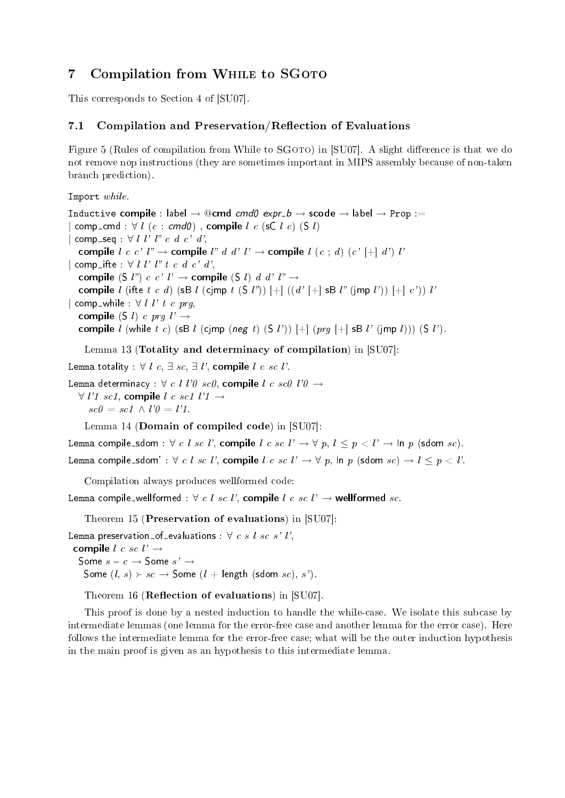# 7 Compilation from WHILE to SGOTO

This corresponds to Section 4 of [SU07].

### 7.1 Compilation and Preservation/Reflection of Evaluations

Figure 5 (Rules of compilation from While to  $SGOTO)$  in [SU07]. A slight difference is that we do not remove nop instructions (they are sometimes important in MIPS assembly because of non-taken branch prediction).

Import while.

Inductive compile : label  $\rightarrow$  @cmd cmd0 expr b  $\rightarrow$  scode  $\rightarrow$  label  $\rightarrow$  Prop :=  $\vert$  comp\_cmd :  $\forall$  *l*  $(c : \text{cmd0})$  , compile *l*  $c$  (sC *l*  $c$ ) (S *l*) *|* comp\_seq : ∀ *l l' l" c d c' d'*, compile l c c' l"  $\rightarrow$  compile l" d d' l'  $\rightarrow$  compile l (c ; d) (c' [+] d') l' *|* comp\_ifte : ∀ *l l' l" t c d c' d'*, compile (S *l*")  $c$   $c'$   $l' \rightarrow$  compile (S *l*)  $d$   $d'$   $l'' \rightarrow$ compile l (ifte t c d) (sB l (cjmp t  $(S \, l'')$ )  $[+]$   $((d' \, l'']$  sB  $l''$  (jmp  $l'$ ))  $[l +]$  c')) l' *|* comp while : *∀* l l' t c prg, compile (S *l*) c prq  $l' \rightarrow$ compile l (while t c) (sB l (cjmp (neg t) (S l'))  $[+]$  (prq  $[+]$  sB l' (jmp l))) (S l').

Lemma 13 (Totality and determinacy of compilation) in [SU07]:

Lemma totality :  $\forall$  l c,  $\exists$  sc,  $\exists$  l', compile l c sc l'.

Lemma determinacy : *∀* c l l'0 sc0, compile l c sc0 l'0 *→*

*∀* l'1 sc1, compile l c sc1 l'1 *→*  $\textit{sc0} = \textit{sc1} \wedge l'0 = l'1.$ 

Lemma 14 (Domain of compiled code) in [SU07]:

Lemma compile\_sdom :  $\forall c \; l \; sc \; l'$ , compile  $l \; c \; sc \; l' \rightarrow \forall p, \; l \leq p \leq l' \rightarrow \text{ln } p \; (\text{sdom } sc)$ . Lemma compile\_sdom' :  $\forall c \; l \; sc \; l'$ , compile  $l \; c \; sc \; l' \rightarrow \forall p$ ,  $\ln p$  (sdom  $sc$ )  $\rightarrow l \leq p \; cl'$ .

Compilation always produces wellformed code:

Lemma compile\_wellformed :  $\forall c \; l \; sc \; l'$ , compile  $l \; c \; sc \; l' \rightarrow$  wellformed sc.

Theorem 15 (Preservation of evaluations) in [SU07]:

Lemma preservation of evaluations :  $\forall c s l s c s' l',$ compile l c sc l' *→* Some  $s - c \rightarrow$  Some  $s' \rightarrow$ Some  $(l, s) \rightarrow sc \rightarrow$  Some  $(l + \text{length (sdom } sc), s')$ .

Theorem 16 (**Reflection of evaluations**) in  $[SU07]$ .

This proof is done by a nested induction to handle the while-case. We isolate this subcase by intermediate lemmas (one lemma for the error-free case and another lemma for the error case). Here follows the intermediate lemma for the error-free case; what will be the outer induction hypothesis in the main proof is given as an hypothesis to this intermediate lemma.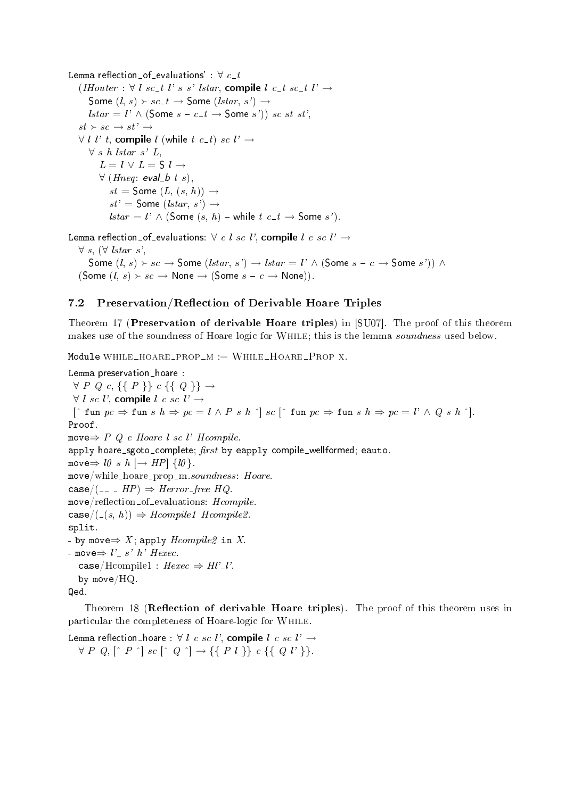```
Lemma reflection_of_evaluations' : \forall c_t(IHouter : ∀ l sc_t l' s s' lstar, compile l c_t s_t l' →Some (l, s) > sc_{-}t \rightarrow Some (lstar, s') \rightarrowlstar = l' \wedge (\text{Some } s - c_- t \rightarrow \text{Some } s') sc st st',
   st \rightarrow sc \rightarrow st' \rightarrow∀ l l' t, compile l (while t c_t) sc l' →
      ∀ s h lstar s' L,
         L = l \vee L = S l \rightarrow∀ (Hneq: eval_b t s).
            st = Some (L, (s, h)) \rightarrowst' = Some (lstar, s') \rightarrowlstar = l' \wedge (Some(s, h) - while t \nc_t \rightarrow Some(s').
```
Lemma reflection\_of\_evaluations:  $\forall c \; l \; sc \; l'$ , compile  $l \; c \; sc \; l' \rightarrow$ 

*∀* s, (*∀* lstar s',

Some  $(l, s)$  ≻  $sc$  → Some  $(lstar, s')$  →  $lstar = l' \wedge$  (Some  $s - c \rightarrow$  Some  $s')$ )  $\wedge$ (Some  $(l, s) \succ sc \rightarrow$  None  $\rightarrow$  (Some  $s - c \rightarrow$  None)).

### 7.2 Preservation/Reflection of Derivable Hoare Triples

Theorem 17 (Preservation of derivable Hoare triples) in [SU07]. The proof of this theorem makes use of the soundness of Hoare logic for WHILE; this is the lemma soundness used below.

Module WHILE\_HOARE\_PROP\_M :=  $WHILE_HOARE_P$ ROP X.

```
Lemma preservation_hoare :
 ∀ P Q c, {{ P }} c {{ Q }} →
 ∀ l sc l', compile l c sc l' →
  [\hat{ } \text{fun } pc \Rightarrow \text{fun } s \text{ } h \Rightarrow pc = l \land P \text{ } s \text{ } h \text{ } \hat{ } ] \text{ } sc \text{ } [\hat{ } \text{fun } pc \Rightarrow \text{fun } s \text{ } h \Rightarrow pc = l' \land Q \text{ } s \text{ } h \text{ } \hat{ } ] .Proof.
move⇒ P Q c Hoare l sc l' Hcompile.
apply hoare_sgoto_complete; first by eapply compile_wellformed; eauto.
move \Rightarrow l0 \; s \; h \; [\rightarrow HP] \; \{l0\}.move/while\_hoare\_prop\_m.soundness: \textit{Hoare}.\csc(A) = - HP \Rightarrow Herror\_free HQ.
move / reflection\_of\_evaluations: Hcompile.
\texttt{case}/(\mathcal{L}(s, h)) \Rightarrow \textit{Hcompile1} Hcompile2.
split.
- by move\Rightarrow X; apply Hcompile2 in X.
- move⇒ l' _ s' h' Hexec.
   case/Hcompile1 : Hexec \Rightarrow Hl'_{l'}.
   by move/HQ.
Qed.
```
Theorem 18 (Reflection of derivable Hoare triples). The proof of this theorem uses in particular the completeness of Hoare-logic for While.

Lemma reflection\_hoare :  $\forall$  *l c sc l'*, compile *l c sc l'*  $\rightarrow$  $\forall P \ Q, [\hat{P} \ \hat{P}] \ \text{sc} \ [\hat{Q} \ \hat{Q}] \rightarrow \{\{P \ l\} \} \ \text{c} \ \{\{Q \ l'\} \}.$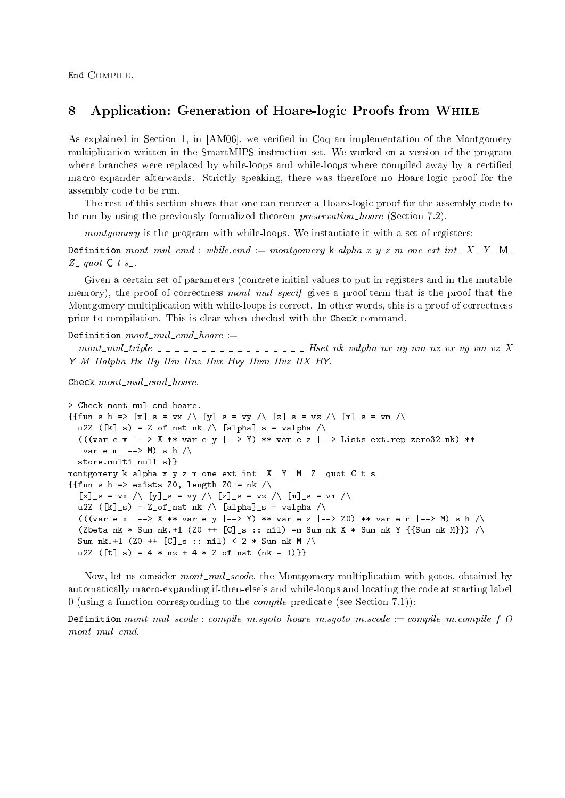End Compile.

### 8 Application: Generation of Hoare-logic Proofs from While

As explained in Section 1, in [AM06], we verified in Coq an implementation of the Montgomery multiplication written in the SmartMIPS instruction set. We worked on a version of the program where branches were replaced by while-loops and while-loops where compiled away by a certified macro-expander afterwards. Strictly speaking, there was therefore no Hoare-logic proof for the assembly code to be run.

The rest of this section shows that one can recover a Hoare-logic proof for the assembly code to be run by using the previously formalized theorem *preservation\_hoare* (Section 7.2).

montgomery is the program with while-loops. We instantiate it with a set of registers:

Definition mont mul cmd : while.cmd := montgomery k alpha x y z m one ext int X Y V M  $Z_$  quot  $C_$  t s ...

Given a certain set of parameters (concrete initial values to put in registers and in the mutable memory), the proof of correctness mont\_mul\_specif gives a proof-term that is the proof that the Montgomery multiplication with while-loops is correct. In other words, this is a proof of correctness prior to compilation. This is clear when checked with the Check command.

Definition  $mont\_mul\_cmd\_hoare :=$ 

mont-mul-triple  $-$  - - - - - - - - - - - - - - - - Hset nk valpha nx ny nm nz vx vy vm vz X Y M Halpha Hx Hy Hm Hnz Hvx Hvy Hvm Hvz HX HY.

Check  $month\_mul\_cmd\_hoare$ .

```
> Check mont_mul_cmd_hoare.
{ {\{fun s h \Rightarrow [x]_s = vx \;/\; [y]_s = vy \;/\; [z]_s = vz \;/\; [m]_s = vn \;/\;}}u2Z ([k]<sub>s</sub>) = Z<sub>of</sub> nat nk / \langle [alpha]<sub>s</sub> = valpha /
  ((var_e x \mid -\rangle X \ast \ast var_e g \mid -\rangle Y) \ast \ast var_e z \mid -\rangle Lists\_ext.rep zero32 nk) \ast \astvar_e m |--\rangle M) s h /\ranglestore.multi_null s}}
montgomery k alpha x y z m one ext int_ X_ Y_ M_ Z_ quot C t s_
{{fun s h => exists Z0, length Z0 = nk /\
  [x]<sub>_</sub>s = vx /\ [y]<sub>_</sub>s = vy /\ [z]<sub>_</sub>s = vz /\ [m]<sub>_</sub>s = vm /\
  u2Z ([k]<sub>s</sub>) = Z_of_nat nk / \ [alpha]s = valpha / \
  ((var_e x \mid -\rangle X * * var_e y \mid -\rangle Y) * * var_e z \mid -\rangle Z0) * * var_e m \mid -\rangle M) s h / \langle(2\beta + 1) (Zbeta nk * Sum nk.+1 (20 + 1) [C]_s :: nil) =m Sum nk X * Sum nk Y \{ \text{Sum nk } N \}Sum nk.+1 (Z0 ++ [C]_s :: nil) < 2 * Sum nk M /\
  u2Z ([t] _s) = 4 * nz + 4 * Z_of_nat (nk - 1)}}
```
Now, let us consider *mont-mul-scode*, the Montgomery multiplication with gotos, obtained by automatically macro-expanding if-then-else's and while-loops and locating the code at starting label 0 (using a function corresponding to the *compile* predicate (see Section 7.1)):

Definition  $month\_mul\_scale$ : compile - m.sgoto - hoare - m.sgoto - m.scode : = compile - m.compile - f O  $month$ - $mul$ - $cmd$ .